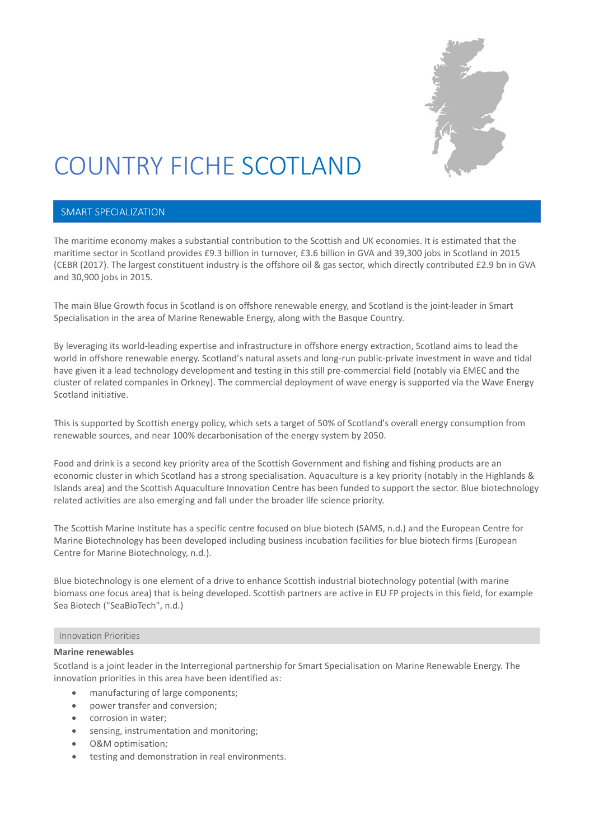

# COUNTRY FICHE SCOTLAND

## SMART SPECIALIZATION

The maritime economy makes a substantial contribution to the Scottish and UK economies. It is estimated that the maritime sector in Scotland provides £9.3 billion in turnover, £3.6 billion in GVA and 39,300 jobs in Scotland in 2015 (CEBR (2017). The largest constituent industry is the offshore oil & gas sector, which directly contributed £2.9 bn in GVA and 30,900 jobs in 2015.

The main Blue Growth focus in Scotland is on offshore renewable energy, and Scotland is the joint-leader in Smart Specialisation in the area of Marine Renewable Energy, along with the Basque Country.

By leveraging its world-leading expertise and infrastructure in offshore energy extraction, Scotland aims to lead the world in offshore renewable energy. Scotland's natural assets and long-run public-private investment in wave and tidal have given it a lead technology development and testing in this still pre-commercial field (notably via EMEC and the cluster of related companies in Orkney). The commercial deployment of wave energy is supported via the Wave Energy Scotland initiative.

This is supported by Scottish energy policy, which sets a target of 50% of Scotland's overall energy consumption from renewable sources, and near 100% decarbonisation of the energy system by 2050.

Food and drink is a second key priority area of the Scottish Government and fishing and fishing products are an economic cluster in which Scotland has a strong specialisation. Aquaculture is a key priority (notably in the Highlands & Islands area) and the Scottish Aquaculture Innovation Centre has been funded to support the sector. Blue biotechnology related activities are also emerging and fall under the broader life science priority.

The Scottish Marine Institute has a specific centre focused on blue biotech (SAMS, n.d.) and the European Centre for Marine Biotechnology has been developed including business incubation facilities for blue biotech firms (European Centre for Marine Biotechnology, n.d.).

Blue biotechnology is one element of a drive to enhance Scottish industrial biotechnology potential (with marine biomass one focus area) that is being developed. Scottish partners are active in EU FP projects in this field, for example Sea Biotech ("SeaBioTech", n.d.)

#### Innovation Priorities

#### **Marine renewables**

Scotland is a joint leader in the Interregional partnership for Smart Specialisation on Marine Renewable Energy. The innovation priorities in this area have been identified as:

- manufacturing of large components;
- power transfer and conversion;
- corrosion in water;
- sensing, instrumentation and monitoring;
- O&M optimisation;
- testing and demonstration in real environments.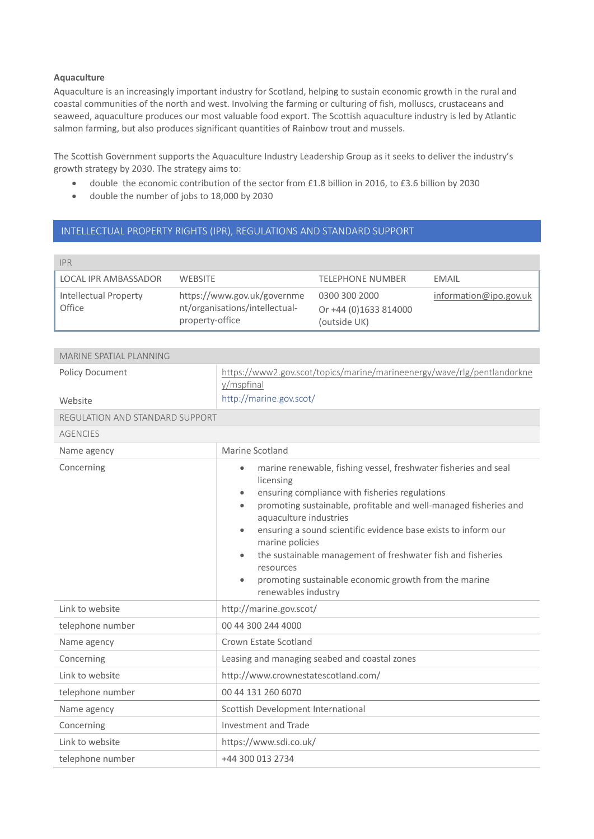### **Aquaculture**

Aquaculture is an increasingly important industry for Scotland, helping to sustain economic growth in the rural and coastal communities of the north and west. Involving the farming or culturing of fish, molluscs, crustaceans and seaweed, aquaculture produces our most valuable food export. The Scottish aquaculture industry is led by Atlantic salmon farming, but also produces significant quantities of Rainbow trout and mussels.

The Scottish Government supports the Aquaculture Industry Leadership Group as it seeks to deliver the industry's growth strategy by 2030. The strategy aims to:

- double the economic contribution of the sector from £1.8 billion in 2016, to £3.6 billion by 2030
- double the number of jobs to 18,000 by 2030

## INTELLECTUAL PROPERTY RIGHTS (IPR), REGULATIONS AND STANDARD SUPPORT

| <b>IPR</b>                      |                                                                                  |                                                        |                        |
|---------------------------------|----------------------------------------------------------------------------------|--------------------------------------------------------|------------------------|
| LOCAL IPR AMBASSADOR            | WEBSITE                                                                          | <b>TELEPHONE NUMBER</b>                                | FMAIL                  |
| Intellectual Property<br>Office | https://www.gov.uk/governme<br>nt/organisations/intellectual-<br>property-office | 0300 300 2000<br>Or +44 (0)1633 814000<br>(outside UK) | information@ipo.gov.uk |

| MARINE SPATIAL PLANNING         |                                                                                                                                                                                                                                                                                                                                                                                                                                                                                            |
|---------------------------------|--------------------------------------------------------------------------------------------------------------------------------------------------------------------------------------------------------------------------------------------------------------------------------------------------------------------------------------------------------------------------------------------------------------------------------------------------------------------------------------------|
| Policy Document                 | https://www2.gov.scot/topics/marine/marineenergy/wave/rlg/pentlandorkne<br>y/mspfinal                                                                                                                                                                                                                                                                                                                                                                                                      |
| Website                         | http://marine.gov.scot/                                                                                                                                                                                                                                                                                                                                                                                                                                                                    |
| REGULATION AND STANDARD SUPPORT |                                                                                                                                                                                                                                                                                                                                                                                                                                                                                            |
| <b>AGENCIES</b>                 |                                                                                                                                                                                                                                                                                                                                                                                                                                                                                            |
| Name agency                     | Marine Scotland                                                                                                                                                                                                                                                                                                                                                                                                                                                                            |
| Concerning                      | marine renewable, fishing vessel, freshwater fisheries and seal<br>licensing<br>ensuring compliance with fisheries regulations<br>promoting sustainable, profitable and well-managed fisheries and<br>aquaculture industries<br>ensuring a sound scientific evidence base exists to inform our<br>marine policies<br>the sustainable management of freshwater fish and fisheries<br>resources<br>promoting sustainable economic growth from the marine<br>$\bullet$<br>renewables industry |
| Link to website                 | http://marine.gov.scot/                                                                                                                                                                                                                                                                                                                                                                                                                                                                    |
| telephone number                | 00 44 300 244 4000                                                                                                                                                                                                                                                                                                                                                                                                                                                                         |
| Name agency                     | Crown Estate Scotland                                                                                                                                                                                                                                                                                                                                                                                                                                                                      |
| Concerning                      | Leasing and managing seabed and coastal zones                                                                                                                                                                                                                                                                                                                                                                                                                                              |
| Link to website                 | http://www.crownestatescotland.com/                                                                                                                                                                                                                                                                                                                                                                                                                                                        |
| telephone number                | 00 44 131 260 6070                                                                                                                                                                                                                                                                                                                                                                                                                                                                         |
| Name agency                     | Scottish Development International                                                                                                                                                                                                                                                                                                                                                                                                                                                         |
| Concerning                      | Investment and Trade                                                                                                                                                                                                                                                                                                                                                                                                                                                                       |
| Link to website                 | https://www.sdi.co.uk/                                                                                                                                                                                                                                                                                                                                                                                                                                                                     |
| telephone number                | +44 300 013 2734                                                                                                                                                                                                                                                                                                                                                                                                                                                                           |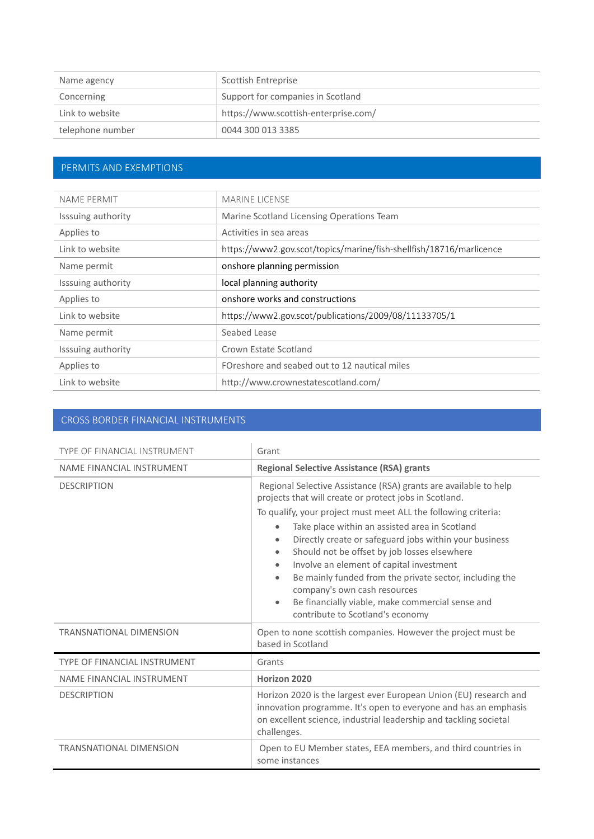| Name agency      | Scottish Entreprise                  |
|------------------|--------------------------------------|
| Concerning       | Support for companies in Scotland    |
| Link to website  | https://www.scottish-enterprise.com/ |
| telephone number | 0044 300 013 3385                    |

# PERMITS AND EXEMPTIONS

| NAME PERMIT        | <b>MARINE LICENSE</b>                                               |
|--------------------|---------------------------------------------------------------------|
| Isssuing authority | Marine Scotland Licensing Operations Team                           |
| Applies to         | Activities in sea areas                                             |
| Link to website    | https://www2.gov.scot/topics/marine/fish-shellfish/18716/marlicence |
| Name permit        | onshore planning permission                                         |
| Isssuing authority | local planning authority                                            |
| Applies to         | onshore works and constructions                                     |
| Link to website    | https://www2.gov.scot/publications/2009/08/11133705/1               |
| Name permit        | Seabed Lease                                                        |
| Isssuing authority | Crown Estate Scotland                                               |
| Applies to         | FOreshore and seabed out to 12 nautical miles                       |
| Link to website    | http://www.crownestatescotland.com/                                 |
|                    |                                                                     |

## CROSS BORDER FINANCIAL INSTRUMENTS

| TYPE OF FINANCIAL INSTRUMENT        | Grant                                                                                                                                                                                                                                                                                                                                                                                                                                                                                                                                                                                                                                                 |
|-------------------------------------|-------------------------------------------------------------------------------------------------------------------------------------------------------------------------------------------------------------------------------------------------------------------------------------------------------------------------------------------------------------------------------------------------------------------------------------------------------------------------------------------------------------------------------------------------------------------------------------------------------------------------------------------------------|
| <b>NAME FINANCIAL INSTRUMENT</b>    | <b>Regional Selective Assistance (RSA) grants</b>                                                                                                                                                                                                                                                                                                                                                                                                                                                                                                                                                                                                     |
| <b>DESCRIPTION</b>                  | Regional Selective Assistance (RSA) grants are available to help<br>projects that will create or protect jobs in Scotland.<br>To qualify, your project must meet ALL the following criteria:<br>Take place within an assisted area in Scotland<br>$\bullet$<br>Directly create or safeguard jobs within your business<br>۰<br>Should not be offset by job losses elsewhere<br>$\bullet$<br>Involve an element of capital investment<br>۰<br>Be mainly funded from the private sector, including the<br>$\bullet$<br>company's own cash resources<br>Be financially viable, make commercial sense and<br>$\bullet$<br>contribute to Scotland's economy |
| <b>TRANSNATIONAL DIMENSION</b>      | Open to none scottish companies. However the project must be<br>based in Scotland                                                                                                                                                                                                                                                                                                                                                                                                                                                                                                                                                                     |
| <b>TYPE OF FINANCIAL INSTRUMENT</b> | Grants                                                                                                                                                                                                                                                                                                                                                                                                                                                                                                                                                                                                                                                |
| NAME FINANCIAL INSTRUMENT           | Horizon 2020                                                                                                                                                                                                                                                                                                                                                                                                                                                                                                                                                                                                                                          |
| <b>DESCRIPTION</b>                  | Horizon 2020 is the largest ever European Union (EU) research and<br>innovation programme. It's open to everyone and has an emphasis<br>on excellent science, industrial leadership and tackling societal<br>challenges.                                                                                                                                                                                                                                                                                                                                                                                                                              |
| <b>TRANSNATIONAL DIMENSION</b>      | Open to EU Member states, EEA members, and third countries in<br>some instances                                                                                                                                                                                                                                                                                                                                                                                                                                                                                                                                                                       |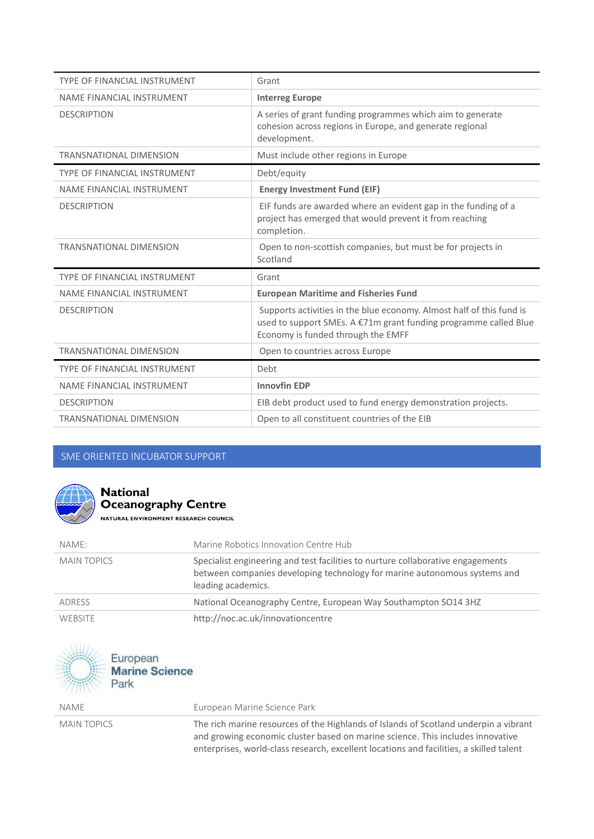| <b>TYPE OF FINANCIAL INSTRUMENT</b> | Grant                                                                                                                                                                          |
|-------------------------------------|--------------------------------------------------------------------------------------------------------------------------------------------------------------------------------|
| <b>NAME FINANCIAL INSTRUMENT</b>    | <b>Interreg Europe</b>                                                                                                                                                         |
| <b>DESCRIPTION</b>                  | A series of grant funding programmes which aim to generate<br>cohesion across regions in Europe, and generate regional<br>development.                                         |
| <b>TRANSNATIONAL DIMENSION</b>      | Must include other regions in Europe                                                                                                                                           |
| <b>TYPE OF FINANCIAL INSTRUMENT</b> | Debt/equity                                                                                                                                                                    |
| NAME FINANCIAL INSTRUMENT           | <b>Energy Investment Fund (EIF)</b>                                                                                                                                            |
| <b>DESCRIPTION</b>                  | EIF funds are awarded where an evident gap in the funding of a<br>project has emerged that would prevent it from reaching<br>completion.                                       |
| <b>TRANSNATIONAL DIMENSION</b>      | Open to non-scottish companies, but must be for projects in                                                                                                                    |
|                                     | Scotland                                                                                                                                                                       |
| <b>TYPE OF FINANCIAL INSTRUMENT</b> | Grant                                                                                                                                                                          |
| NAME FINANCIAL INSTRUMENT           | <b>European Maritime and Fisheries Fund</b>                                                                                                                                    |
| <b>DESCRIPTION</b>                  | Supports activities in the blue economy. Almost half of this fund is<br>used to support SMEs. A €71m grant funding programme called Blue<br>Economy is funded through the EMFF |
| <b>TRANSNATIONAL DIMENSION</b>      | Open to countries across Europe                                                                                                                                                |
| TYPE OF FINANCIAL INSTRUMENT        | Debt                                                                                                                                                                           |
| NAME FINANCIAL INSTRUMENT           | <b>Innovfin EDP</b>                                                                                                                                                            |
| <b>DESCRIPTION</b>                  | EIB debt product used to fund energy demonstration projects.                                                                                                                   |

## SME ORIENTED INCUBATOR SUPPORT



# **National Oceanography Centre**

NATURAL ENVIRONMENT RESEARCH COUNCIL

| NAME:              | Marine Robotics Innovation Centre Hub                                                                                                                                              |
|--------------------|------------------------------------------------------------------------------------------------------------------------------------------------------------------------------------|
| <b>MAIN TOPICS</b> | Specialist engineering and test facilities to nurture collaborative engagements<br>between companies developing technology for marine autonomous systems and<br>leading academics. |
| ADRESS             | National Oceanography Centre, European Way Southampton SO14 3HZ                                                                                                                    |
| <b>WEBSITE</b>     | http://noc.ac.uk/innovationcentre                                                                                                                                                  |



NAME European Marine Science Park

MAIN TOPICS The rich marine resources of the Highlands of Islands of Scotland underpin a vibrant and growing economic cluster based on marine science. This includes innovative enterprises, world-class research, excellent locations and facilities, a skilled talent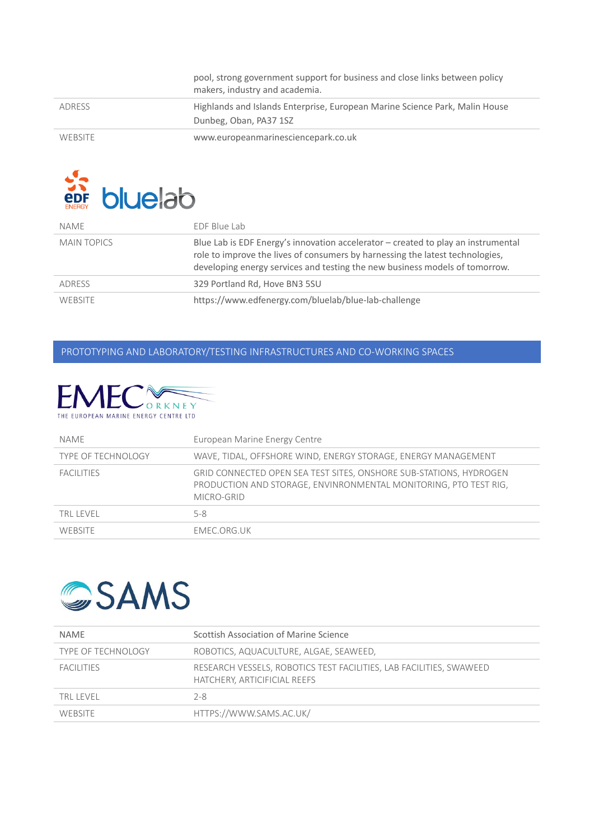|         | pool, strong government support for business and close links between policy<br>makers, industry and academia. |
|---------|---------------------------------------------------------------------------------------------------------------|
| ADRESS  | Highlands and Islands Enterprise, European Marine Science Park, Malin House<br>Dunbeg, Oban, PA37 1SZ         |
| WEBSITE | www.europeanmarinesciencepark.co.uk                                                                           |



| NAME               | FDF Blue Lab                                                                                                                                                                                                                                        |
|--------------------|-----------------------------------------------------------------------------------------------------------------------------------------------------------------------------------------------------------------------------------------------------|
| <b>MAIN TOPICS</b> | Blue Lab is EDF Energy's innovation accelerator $-$ created to play an instrumental<br>role to improve the lives of consumers by harnessing the latest technologies,<br>developing energy services and testing the new business models of tomorrow. |
| ADRESS             | 329 Portland Rd, Hove BN3 5SU                                                                                                                                                                                                                       |
| <b>WEBSITE</b>     | https://www.edfenergy.com/bluelab/blue-lab-challenge                                                                                                                                                                                                |

## PROTOTYPING AND LABORATORY/TESTING INFRASTRUCTURES AND CO‐WORKING SPACES



| NAME                      | European Marine Energy Centre                                                                                                                        |
|---------------------------|------------------------------------------------------------------------------------------------------------------------------------------------------|
| <b>TYPE OF TECHNOLOGY</b> | WAVE, TIDAL, OFFSHORE WIND, ENERGY STORAGE, ENERGY MANAGEMENT                                                                                        |
| <b>FACILITIES</b>         | GRID CONNECTED OPEN SEA TEST SITES, ONSHORE SUB-STATIONS, HYDROGEN<br>PRODUCTION AND STORAGE, ENVINRONMENTAL MONITORING, PTO TEST RIG,<br>MICRO-GRID |
| TRI I FVFI                | $5 - 8$                                                                                                                                              |
| <b>WEBSITE</b>            | FMFC.ORG.UK                                                                                                                                          |



| <b>NAME</b>               | Scottish Association of Marine Science                                                              |
|---------------------------|-----------------------------------------------------------------------------------------------------|
| <b>TYPE OF TECHNOLOGY</b> | ROBOTICS, AQUACULTURE, ALGAE, SEAWEED,                                                              |
| <b>FACILITIES</b>         | RESEARCH VESSELS, ROBOTICS TEST FACILITIES, LAB FACILITIES, SWAWEED<br>HATCHERY, ARTICIFICIAL REEFS |
| TRI I FVFI                | $2 - 8$                                                                                             |
| <b>WEBSITE</b>            | HTTPS://WWW.SAMS.AC.UK/                                                                             |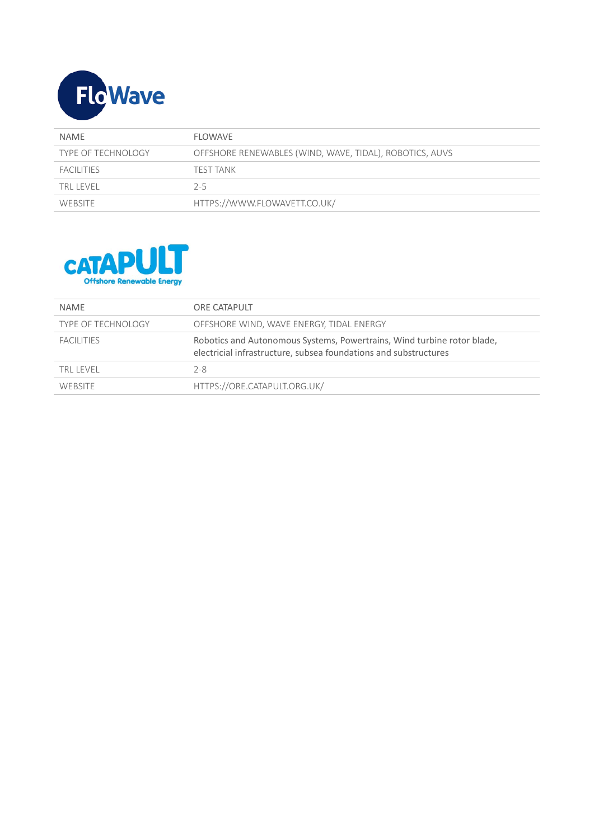

| <b>NAME</b>               | FLOWAVE                                                 |
|---------------------------|---------------------------------------------------------|
| <b>TYPE OF TECHNOLOGY</b> | OFFSHORE RENEWABLES (WIND, WAVE, TIDAL), ROBOTICS, AUVS |
| FACILITIES                | TEST TANK                                               |
| TRI I FVFI                | $2-5$                                                   |
| WEBSITE                   | HTTPS://WWW.FLOWAVETT.CO.UK/                            |



| <b>NAMF</b>               | ORE CATAPULT                                                                                                                                |
|---------------------------|---------------------------------------------------------------------------------------------------------------------------------------------|
| <b>TYPE OF TECHNOLOGY</b> | OFFSHORE WIND, WAVE ENERGY, TIDAL ENERGY                                                                                                    |
| <b>FACILITIES</b>         | Robotics and Autonomous Systems, Powertrains, Wind turbine rotor blade,<br>electricial infrastructure, subsea foundations and substructures |
| TRI I FVFI                | $2 - 8$                                                                                                                                     |
| <b>WEBSITE</b>            | HTTPS://ORE.CATAPULT.ORG.UK/                                                                                                                |